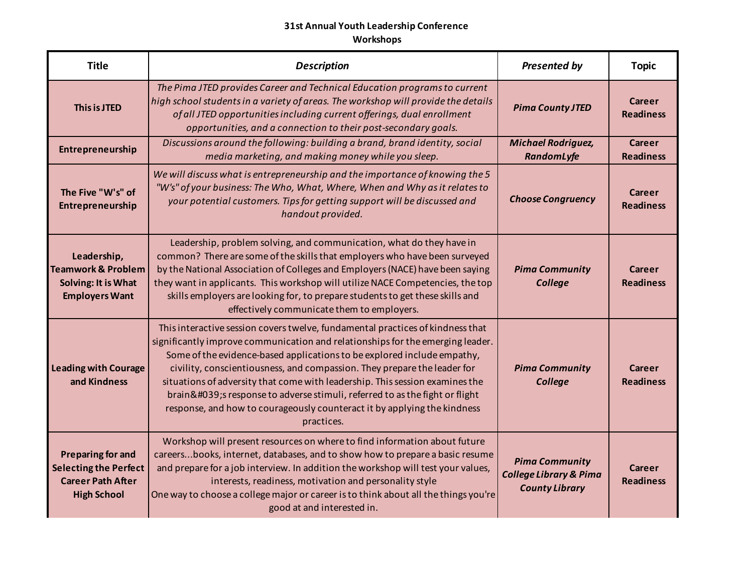| <b>Title</b>                                                                                               | <b>Description</b>                                                                                                                                                                                                                                                                                                                                                                                                                                                                                                                                                           | <b>Presented by</b>                                                                 | <b>Topic</b>               |
|------------------------------------------------------------------------------------------------------------|------------------------------------------------------------------------------------------------------------------------------------------------------------------------------------------------------------------------------------------------------------------------------------------------------------------------------------------------------------------------------------------------------------------------------------------------------------------------------------------------------------------------------------------------------------------------------|-------------------------------------------------------------------------------------|----------------------------|
| This is JTED                                                                                               | The Pima JTED provides Career and Technical Education programs to current<br>high school students in a variety of areas. The workshop will provide the details<br>of all JTED opportunities including current offerings, dual enrollment<br>opportunities, and a connection to their post-secondary goals.                                                                                                                                                                                                                                                                   | <b>Pima County JTED</b>                                                             | Career<br><b>Readiness</b> |
| Entrepreneurship                                                                                           | Discussions around the following: building a brand, brand identity, social<br>media marketing, and making money while you sleep.                                                                                                                                                                                                                                                                                                                                                                                                                                             | <b>Michael Rodriguez,</b><br>RandomLyfe                                             | Career<br><b>Readiness</b> |
| The Five "W's" of<br>Entrepreneurship                                                                      | We will discuss what is entrepreneurship and the importance of knowing the 5<br>"W's" of your business: The Who, What, Where, When and Why as it relates to<br>your potential customers. Tips for getting support will be discussed and<br>handout provided.                                                                                                                                                                                                                                                                                                                 | <b>Choose Congruency</b>                                                            | Career<br><b>Readiness</b> |
| Leadership,<br><b>Teamwork &amp; Problem</b><br>Solving: It is What<br><b>Employers Want</b>               | Leadership, problem solving, and communication, what do they have in<br>common? There are some of the skills that employers who have been surveyed<br>by the National Association of Colleges and Employers (NACE) have been saying<br>they want in applicants. This workshop will utilize NACE Competencies, the top<br>skills employers are looking for, to prepare students to get these skills and<br>effectively communicate them to employers.                                                                                                                         | <b>Pima Community</b><br>College                                                    | Career<br><b>Readiness</b> |
| <b>Leading with Courage</b><br>and Kindness                                                                | This interactive session covers twelve, fundamental practices of kindness that<br>significantly improve communication and relationships for the emerging leader.<br>Some of the evidence-based applications to be explored include empathy,<br>civility, conscientiousness, and compassion. They prepare the leader for<br>situations of adversity that come with leadership. This session examines the<br>brain's response to adverse stimuli, referred to as the fight or flight<br>response, and how to courageously counteract it by applying the kindness<br>practices. | <b>Pima Community</b><br><b>College</b>                                             | Career<br><b>Readiness</b> |
| <b>Preparing for and</b><br><b>Selecting the Perfect</b><br><b>Career Path After</b><br><b>High School</b> | Workshop will present resources on where to find information about future<br>careersbooks, internet, databases, and to show how to prepare a basic resume<br>and prepare for a job interview. In addition the workshop will test your values,<br>interests, readiness, motivation and personality style<br>One way to choose a college major or career is to think about all the things you're<br>good at and interested in.                                                                                                                                                 | <b>Pima Community</b><br><b>College Library &amp; Pima</b><br><b>County Library</b> | Career<br><b>Readiness</b> |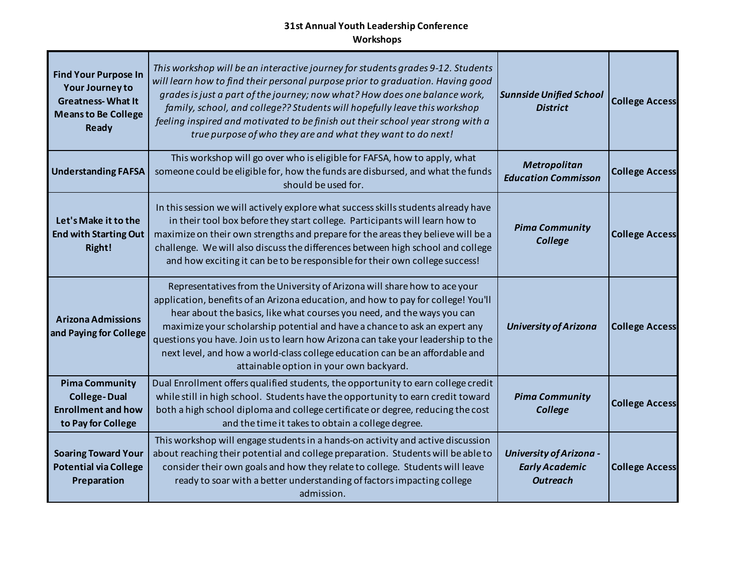| <b>Find Your Purpose In</b><br><b>Your Journey to</b><br><b>Greatness-What It</b><br><b>Means to Be College</b><br>Ready | This workshop will be an interactive journey for students grades 9-12. Students<br>will learn how to find their personal purpose prior to graduation. Having good<br>grades is just a part of the journey; now what? How does one balance work,<br>family, school, and college?? Students will hopefully leave this workshop<br>feeling inspired and motivated to be finish out their school year strong with a<br>true purpose of who they are and what they want to do next!                                                         | <b>Sunnside Unified School</b><br><b>District</b>                          | <b>College Access</b> |
|--------------------------------------------------------------------------------------------------------------------------|----------------------------------------------------------------------------------------------------------------------------------------------------------------------------------------------------------------------------------------------------------------------------------------------------------------------------------------------------------------------------------------------------------------------------------------------------------------------------------------------------------------------------------------|----------------------------------------------------------------------------|-----------------------|
| <b>Understanding FAFSA</b>                                                                                               | This workshop will go over who is eligible for FAFSA, how to apply, what<br>someone could be eligible for, how the funds are disbursed, and what the funds<br>should be used for.                                                                                                                                                                                                                                                                                                                                                      | Metropolitan<br><b>Education Commisson</b>                                 | <b>College Access</b> |
| Let's Make it to the<br><b>End with Starting Out</b><br>Right!                                                           | In this session we will actively explore what success skills students already have<br>in their tool box before they start college. Participants will learn how to<br>maximize on their own strengths and prepare for the areas they believe will be a<br>challenge. We will also discuss the differences between high school and college<br>and how exciting it can be to be responsible for their own college success!                                                                                                                | <b>Pima Community</b><br>College                                           | <b>College Access</b> |
| <b>Arizona Admissions</b><br>and Paying for College                                                                      | Representatives from the University of Arizona will share how to ace your<br>application, benefits of an Arizona education, and how to pay for college! You'll<br>hear about the basics, like what courses you need, and the ways you can<br>maximize your scholarship potential and have a chance to ask an expert any<br>questions you have. Join us to learn how Arizona can take your leadership to the<br>next level, and how a world-class college education can be an affordable and<br>attainable option in your own backyard. | <b>University of Arizona</b>                                               | <b>College Access</b> |
| <b>Pima Community</b><br><b>College-Dual</b><br><b>Enrollment and how</b><br>to Pay for College                          | Dual Enrollment offers qualified students, the opportunity to earn college credit<br>while still in high school. Students have the opportunity to earn credit toward<br>both a high school diploma and college certificate or degree, reducing the cost<br>and the time it takes to obtain a college degree.                                                                                                                                                                                                                           | <b>Pima Community</b><br>College                                           | <b>College Access</b> |
| <b>Soaring Toward Your</b><br><b>Potential via College</b><br>Preparation                                                | This workshop will engage students in a hands-on activity and active discussion<br>about reaching their potential and college preparation. Students will be able to<br>consider their own goals and how they relate to college. Students will leave<br>ready to soar with a better understanding of factors impacting college<br>admission.                                                                                                                                                                                            | <b>University of Arizona -</b><br><b>Early Academic</b><br><b>Outreach</b> | <b>College Access</b> |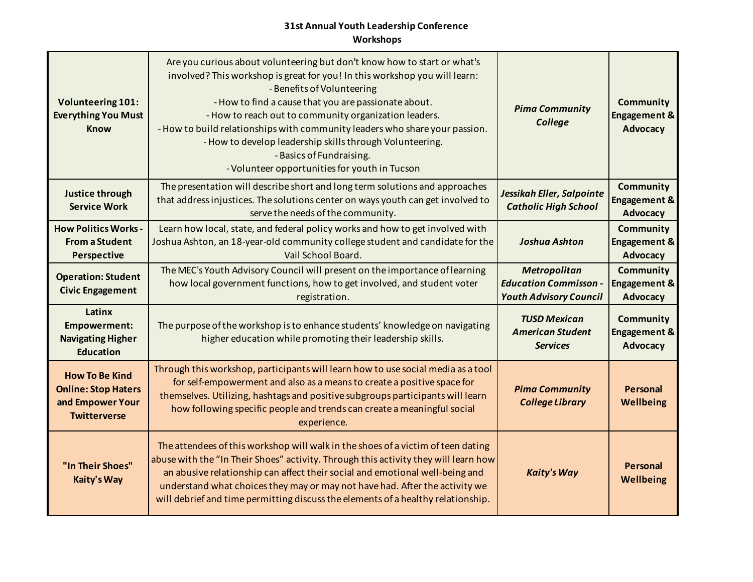| <b>Volunteering 101:</b><br><b>Everything You Must</b><br><b>Know</b>                          | Are you curious about volunteering but don't know how to start or what's<br>involved? This workshop is great for you! In this workshop you will learn:<br>- Benefits of Volunteering<br>- How to find a cause that you are passionate about.<br>- How to reach out to community organization leaders.<br>- How to build relationships with community leaders who share your passion.<br>- How to develop leadership skills through Volunteering.<br>- Basics of Fundraising.<br>- Volunteer opportunities for youth in Tucson | <b>Pima Community</b><br>College                                                     | <b>Community</b><br><b>Engagement &amp;</b><br>Advocacy        |
|------------------------------------------------------------------------------------------------|-------------------------------------------------------------------------------------------------------------------------------------------------------------------------------------------------------------------------------------------------------------------------------------------------------------------------------------------------------------------------------------------------------------------------------------------------------------------------------------------------------------------------------|--------------------------------------------------------------------------------------|----------------------------------------------------------------|
| Justice through<br><b>Service Work</b>                                                         | The presentation will describe short and long term solutions and approaches<br>that address injustices. The solutions center on ways youth can get involved to<br>serve the needs of the community.                                                                                                                                                                                                                                                                                                                           | Jessikah Eller, Salpointe<br><b>Catholic High School</b>                             | <b>Community</b><br><b>Engagement &amp;</b><br>Advocacy        |
| <b>How Politics Works -</b><br><b>From a Student</b><br>Perspective                            | Learn how local, state, and federal policy works and how to get involved with<br>Joshua Ashton, an 18-year-old community college student and candidate for the<br>Vail School Board.                                                                                                                                                                                                                                                                                                                                          | <b>Joshua Ashton</b>                                                                 | <b>Community</b><br><b>Engagement &amp;</b><br>Advocacy        |
| <b>Operation: Student</b><br><b>Civic Engagement</b>                                           | The MEC's Youth Advisory Council will present on the importance of learning<br>how local government functions, how to get involved, and student voter<br>registration.                                                                                                                                                                                                                                                                                                                                                        | <b>Metropolitan</b><br><b>Education Commisson -</b><br><b>Youth Advisory Council</b> | <b>Community</b><br><b>Engagement &amp;</b><br><b>Advocacy</b> |
| Latinx<br><b>Empowerment:</b><br><b>Navigating Higher</b><br><b>Education</b>                  | The purpose of the workshop is to enhance students' knowledge on navigating<br>higher education while promoting their leadership skills.                                                                                                                                                                                                                                                                                                                                                                                      | <b>TUSD Mexican</b><br><b>American Student</b><br><b>Services</b>                    | <b>Community</b><br><b>Engagement &amp;</b><br>Advocacy        |
| <b>How To Be Kind</b><br><b>Online: Stop Haters</b><br>and Empower Your<br><b>Twitterverse</b> | Through this workshop, participants will learn how to use social media as a tool<br>for self-empowerment and also as a means to create a positive space for<br>themselves. Utilizing, hashtags and positive subgroups participants will learn<br>how following specific people and trends can create a meaningful social<br>experience.                                                                                                                                                                                       | <b>Pima Community</b><br><b>College Library</b>                                      | <b>Personal</b><br>Wellbeing                                   |
| "In Their Shoes"<br>Kaity's Way                                                                | The attendees of this workshop will walk in the shoes of a victim of teen dating<br>abuse with the "In Their Shoes" activity. Through this activity they will learn how<br>an abusive relationship can affect their social and emotional well-being and<br>understand what choices they may or may not have had. After the activity we<br>will debrief and time permitting discuss the elements of a healthy relationship.                                                                                                    | <b>Kaity's Way</b>                                                                   | Personal<br>Wellbeing                                          |